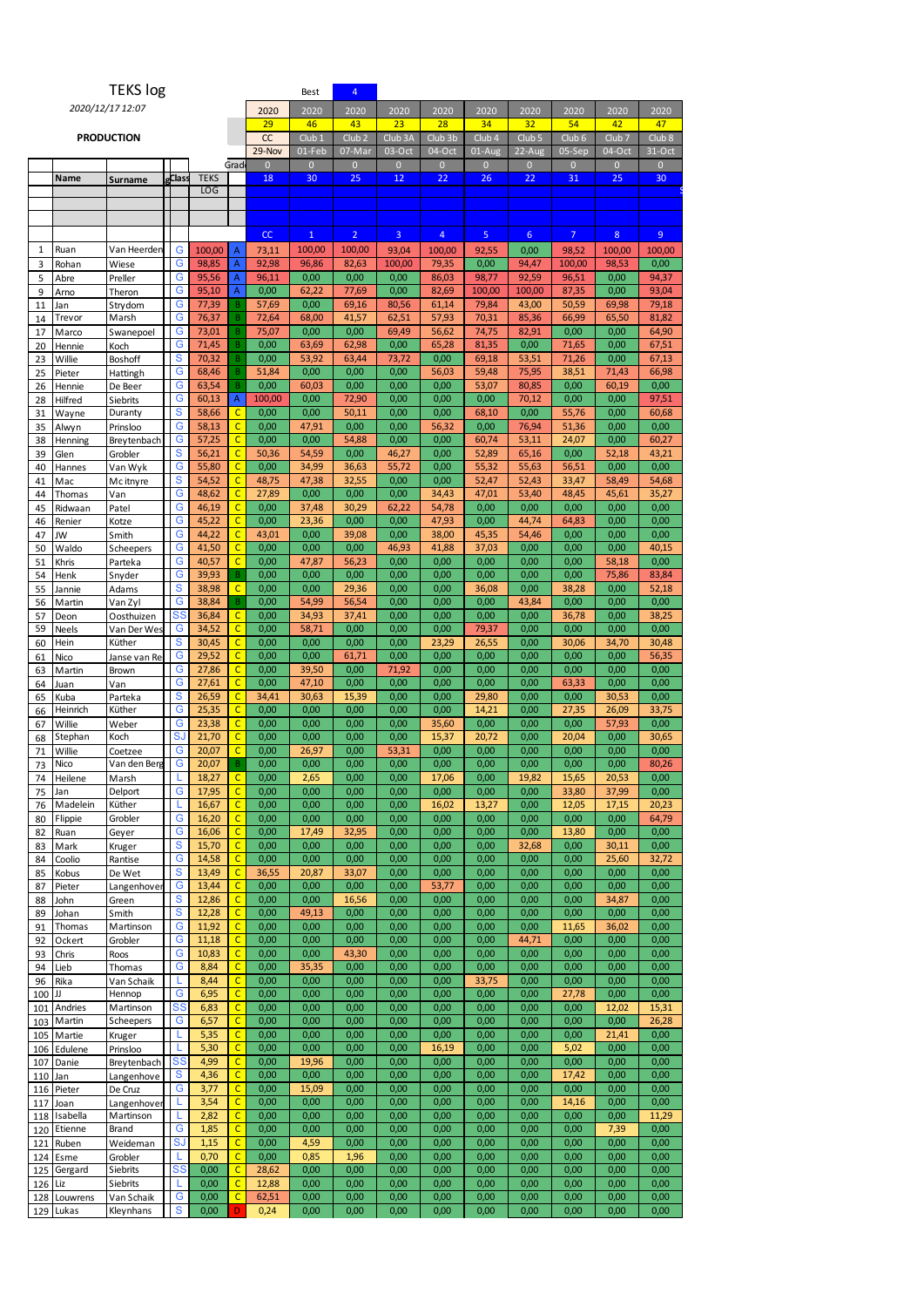|           |                          | <b>TEKS log</b>          |              |                 |                                  |                        | Best                   | $\overline{4}$           |                        |                          |                        |                        |                                                                                                                                                                                                                                                                                                                                                                                                                                                                                                                                                                                                                                                                                                                                                                                                                                                                                                                                                                                                                                                                                                                                                                                                                                                                                                                                                                                                                                                                                                                                                                                                                                                                                                                                                                                                   |              |              |  |
|-----------|--------------------------|--------------------------|--------------|-----------------|----------------------------------|------------------------|------------------------|--------------------------|------------------------|--------------------------|------------------------|------------------------|---------------------------------------------------------------------------------------------------------------------------------------------------------------------------------------------------------------------------------------------------------------------------------------------------------------------------------------------------------------------------------------------------------------------------------------------------------------------------------------------------------------------------------------------------------------------------------------------------------------------------------------------------------------------------------------------------------------------------------------------------------------------------------------------------------------------------------------------------------------------------------------------------------------------------------------------------------------------------------------------------------------------------------------------------------------------------------------------------------------------------------------------------------------------------------------------------------------------------------------------------------------------------------------------------------------------------------------------------------------------------------------------------------------------------------------------------------------------------------------------------------------------------------------------------------------------------------------------------------------------------------------------------------------------------------------------------------------------------------------------------------------------------------------------------|--------------|--------------|--|
|           |                          | 2020/12/17 12:07         |              |                 |                                  | 2020                   | 2020                   | 2020                     | 2020                   | 2020                     | 2020                   | 2020                   | 2020<br>2020<br>2020<br>54<br>42<br>47<br>Club <sub>6</sub><br>Club 7<br>Club <sub>8</sub><br>05-Sep<br>04-Oct<br>31-Oct<br>$\overline{0}$<br>$\mathbf{0}$<br>$\mathbf{0}$<br>31<br>25<br>30<br>$\overline{7}$<br>8 <sup>°</sup><br>9<br>98,52<br>100,00<br>100,00<br>100,00<br>98,53<br>0,00<br>96,51<br>0,00<br>94,37<br>87,35<br>0,00<br>93,04<br>79,18<br>50,59<br>69,98<br>66,99<br>65,50<br>81,82<br>0,00<br>0,00<br>64,90<br>71,65<br>0,00<br>67,51<br>71,26<br>0,00<br>67,13<br>38,51<br>66,98<br>71,43<br>0,00<br>60,19<br>0,00<br>0,00<br>0,00<br>97,51<br>55,76<br>0,00<br>60,68<br>51,36<br>0,00<br>0,00<br>24,07<br>0,00<br>60,27<br>0,00<br>43,21<br>52,18<br>0,00<br>56,51<br>0,00<br>33,47<br>58,49<br>54,68<br>48,45<br>45,61<br>35,27<br>0,00<br>0,00<br>0,00<br>0,00<br>0,00<br>64,83<br>0,00<br>0,00<br>0,00<br>0,00<br>0,00<br>40,15<br>0,00<br>58,18<br>0,00<br>0,00<br>75,86<br>83,84<br>0,00<br>52,18<br>38,28<br>0,00<br>0,00<br>0,00<br>36,78<br>0,00<br>38,25<br>0,00<br>0,00<br>0,00<br>30,06<br>30,48<br>34,70<br>0,00<br>0,00<br>56,35<br>0,00<br>0,00<br>0,00<br>0,00<br>63,33<br>0,00<br>0,00<br>30,53<br>0,00<br>27,35<br>26,09<br>33,75<br>0,00<br>0,00<br>57,93<br>20,04<br>0,00<br>30,65<br>0,00<br>0,00<br>0,00<br>0,00<br>0,00<br>80,26<br>15,65<br>0,00<br>20,53<br>0,00<br>33,80<br>37,99<br>12,05<br>17,15<br>20,23<br>0,00<br>0,00<br>64,79<br>13,80<br>0,00<br>0,00<br>0,00<br>30,11<br>0,00<br>0,00<br>25,60<br>32,72<br>0,00<br>0,00<br>0,00<br>0,00<br>0,00<br>0,00<br>0,00<br>34,87<br>0,00<br>0,00<br>0,00<br>0,00<br>0,00<br>11,65<br>36,02<br>0,00<br>0,00<br>0,00<br>0,00<br>0,00<br>0,00<br>0,00<br>0,00<br>0,00<br>0,00<br>0,00<br>0,00<br>0,00<br>0,00<br>27,78<br>0,00<br>12,02<br>15,31<br>0,00<br>0,00<br>26,28<br>0,00<br>21,41<br>0,00 |              |              |  |
|           |                          |                          |              |                 |                                  | 29                     | 46                     | 43                       | 23                     | 28                       | 34                     | 32                     |                                                                                                                                                                                                                                                                                                                                                                                                                                                                                                                                                                                                                                                                                                                                                                                                                                                                                                                                                                                                                                                                                                                                                                                                                                                                                                                                                                                                                                                                                                                                                                                                                                                                                                                                                                                                   |              |              |  |
|           |                          | <b>PRODUCTION</b>        |              |                 |                                  | cc                     | Club <sub>1</sub>      | Club <sub>2</sub>        | Club <sub>3A</sub>     | Club <sub>3b</sub>       | Club <sub>4</sub>      | Club <sub>5</sub>      |                                                                                                                                                                                                                                                                                                                                                                                                                                                                                                                                                                                                                                                                                                                                                                                                                                                                                                                                                                                                                                                                                                                                                                                                                                                                                                                                                                                                                                                                                                                                                                                                                                                                                                                                                                                                   |              |              |  |
|           |                          |                          |              |                 | Grad                             | 29-Nov<br>$\mathbf{0}$ | 01-Feb<br>$\mathbf{0}$ | 07-Mar<br>$\mathbf{0}$   | 03-Oct<br>$\mathbf{0}$ | 04-Oct<br>$\overline{0}$ | 01-Aug<br>$\mathbf{0}$ | 22-Aug<br>$\mathbf{0}$ |                                                                                                                                                                                                                                                                                                                                                                                                                                                                                                                                                                                                                                                                                                                                                                                                                                                                                                                                                                                                                                                                                                                                                                                                                                                                                                                                                                                                                                                                                                                                                                                                                                                                                                                                                                                                   |              |              |  |
|           | Name                     | Surname                  | <b>Class</b> | <b>TEKS</b>     |                                  | 18                     | 30                     | 25                       | 12                     | 22                       | 26                     | 22                     |                                                                                                                                                                                                                                                                                                                                                                                                                                                                                                                                                                                                                                                                                                                                                                                                                                                                                                                                                                                                                                                                                                                                                                                                                                                                                                                                                                                                                                                                                                                                                                                                                                                                                                                                                                                                   |              |              |  |
|           |                          |                          |              | <b>LOG</b>      |                                  |                        |                        |                          |                        |                          |                        |                        |                                                                                                                                                                                                                                                                                                                                                                                                                                                                                                                                                                                                                                                                                                                                                                                                                                                                                                                                                                                                                                                                                                                                                                                                                                                                                                                                                                                                                                                                                                                                                                                                                                                                                                                                                                                                   |              |              |  |
|           |                          |                          |              |                 |                                  |                        |                        |                          |                        |                          |                        |                        |                                                                                                                                                                                                                                                                                                                                                                                                                                                                                                                                                                                                                                                                                                                                                                                                                                                                                                                                                                                                                                                                                                                                                                                                                                                                                                                                                                                                                                                                                                                                                                                                                                                                                                                                                                                                   |              |              |  |
|           |                          |                          |              |                 |                                  |                        |                        |                          |                        |                          |                        |                        |                                                                                                                                                                                                                                                                                                                                                                                                                                                                                                                                                                                                                                                                                                                                                                                                                                                                                                                                                                                                                                                                                                                                                                                                                                                                                                                                                                                                                                                                                                                                                                                                                                                                                                                                                                                                   |              |              |  |
| 1         | Ruan                     | Van Heerden              |              |                 |                                  | CC                     | $\mathbf{1}$<br>100,00 | $\overline{2}$<br>100,00 | $\overline{3}$         | 4                        | $\overline{5}$         | 6                      |                                                                                                                                                                                                                                                                                                                                                                                                                                                                                                                                                                                                                                                                                                                                                                                                                                                                                                                                                                                                                                                                                                                                                                                                                                                                                                                                                                                                                                                                                                                                                                                                                                                                                                                                                                                                   |              |              |  |
| 3         | Rohan                    | Wiese                    | G<br>Ġ       | 100,00<br>98,85 | $\overline{A}$<br>$\overline{A}$ | 73,11<br>92,98         | 96,86                  | 82,63                    | 93,04<br>100,00        | 100,00<br>79,35          | 92,55<br>0,00          | 0,00<br>94,47          |                                                                                                                                                                                                                                                                                                                                                                                                                                                                                                                                                                                                                                                                                                                                                                                                                                                                                                                                                                                                                                                                                                                                                                                                                                                                                                                                                                                                                                                                                                                                                                                                                                                                                                                                                                                                   |              |              |  |
| 5         | Abre                     | Preller                  | G            | 95,56           | $\overline{A}$                   | 96,11                  | 0,00                   | 0,00                     | 0,00                   | 86,03                    | 98,77                  | 92,59                  |                                                                                                                                                                                                                                                                                                                                                                                                                                                                                                                                                                                                                                                                                                                                                                                                                                                                                                                                                                                                                                                                                                                                                                                                                                                                                                                                                                                                                                                                                                                                                                                                                                                                                                                                                                                                   |              |              |  |
| 9         | Arno                     | Theron                   | G            | 95,10           | A                                | 0,00                   | 62,22                  | 77,69                    | 0,00                   | 82,69                    | 100,00                 | 100,00                 |                                                                                                                                                                                                                                                                                                                                                                                                                                                                                                                                                                                                                                                                                                                                                                                                                                                                                                                                                                                                                                                                                                                                                                                                                                                                                                                                                                                                                                                                                                                                                                                                                                                                                                                                                                                                   |              |              |  |
| 11        | Jan                      | Strydom                  | G            | 77,39           | B                                | 57,69                  | 0,00                   | 69,16                    | 80,56                  | 61,14                    | 79,84                  | 43,00                  |                                                                                                                                                                                                                                                                                                                                                                                                                                                                                                                                                                                                                                                                                                                                                                                                                                                                                                                                                                                                                                                                                                                                                                                                                                                                                                                                                                                                                                                                                                                                                                                                                                                                                                                                                                                                   |              |              |  |
| 14<br>17  | Trevor<br>Marco          | Marsh<br>Swanepoel       | G<br>G       | 76,37<br>73,01  | B<br>B                           | 72,64<br>75,07         | 68,00<br>0,00          | 41,57<br>0,00            | 62,51<br>69,49         | 57,93<br>56,62           | 70,31<br>74,75         | 85,36<br>82,91         |                                                                                                                                                                                                                                                                                                                                                                                                                                                                                                                                                                                                                                                                                                                                                                                                                                                                                                                                                                                                                                                                                                                                                                                                                                                                                                                                                                                                                                                                                                                                                                                                                                                                                                                                                                                                   |              |              |  |
| 20        | Hennie                   | Koch                     | G            | 71,45           | B                                | 0,00                   | 63,69                  | 62,98                    | 0,00                   | 65,28                    | 81,35                  | 0,00                   |                                                                                                                                                                                                                                                                                                                                                                                                                                                                                                                                                                                                                                                                                                                                                                                                                                                                                                                                                                                                                                                                                                                                                                                                                                                                                                                                                                                                                                                                                                                                                                                                                                                                                                                                                                                                   |              |              |  |
| 23        | Willie                   | Boshoff                  | S            | 70,32           | B                                | 0,00                   | 53,92                  | 63,44                    | 73,72                  | 0,00                     | 69,18                  | 53,51                  |                                                                                                                                                                                                                                                                                                                                                                                                                                                                                                                                                                                                                                                                                                                                                                                                                                                                                                                                                                                                                                                                                                                                                                                                                                                                                                                                                                                                                                                                                                                                                                                                                                                                                                                                                                                                   |              |              |  |
| 25        | Pieter                   | Hattingh                 | G            | 68,46           | B                                | 51,84                  | 0,00                   | 0,00                     | 0,00                   | 56,03                    | 59,48                  | 75,95                  |                                                                                                                                                                                                                                                                                                                                                                                                                                                                                                                                                                                                                                                                                                                                                                                                                                                                                                                                                                                                                                                                                                                                                                                                                                                                                                                                                                                                                                                                                                                                                                                                                                                                                                                                                                                                   |              |              |  |
| 26<br>28  | Hennie<br>Hilfred        | De Beer<br>Siebrits      | G<br>G       | 63,54<br>60,13  | B<br>$\overline{A}$              | 0,00<br>100,00         | 60,03<br>0,00          | 0,00<br>72,90            | 0,00<br>0,00           | 0,00<br>0,00             | 53,07<br>0,00          | 80,85<br>70,12         |                                                                                                                                                                                                                                                                                                                                                                                                                                                                                                                                                                                                                                                                                                                                                                                                                                                                                                                                                                                                                                                                                                                                                                                                                                                                                                                                                                                                                                                                                                                                                                                                                                                                                                                                                                                                   |              |              |  |
| 31        | Wayne                    | Duranty                  | S            | 58,66           | $\mathsf{C}$                     | 0,00                   | 0,00                   | 50,11                    | 0,00                   | 0,00                     | 68,10                  | 0,00                   |                                                                                                                                                                                                                                                                                                                                                                                                                                                                                                                                                                                                                                                                                                                                                                                                                                                                                                                                                                                                                                                                                                                                                                                                                                                                                                                                                                                                                                                                                                                                                                                                                                                                                                                                                                                                   |              |              |  |
| 35        | Alwyn                    | Prinsloo                 | G            | 58,13           | $\mathsf{C}$                     | 0,00                   | 47,91                  | 0,00                     | 0,00                   | 56,32                    | 0,00                   | 76,94                  |                                                                                                                                                                                                                                                                                                                                                                                                                                                                                                                                                                                                                                                                                                                                                                                                                                                                                                                                                                                                                                                                                                                                                                                                                                                                                                                                                                                                                                                                                                                                                                                                                                                                                                                                                                                                   |              |              |  |
| 38        | Henning                  | Breytenbach              | G            | 57,25           | $\mathsf{C}$                     | 0,00                   | 0,00                   | 54,88                    | 0,00                   | 0,00                     | 60,74                  | 53,11                  |                                                                                                                                                                                                                                                                                                                                                                                                                                                                                                                                                                                                                                                                                                                                                                                                                                                                                                                                                                                                                                                                                                                                                                                                                                                                                                                                                                                                                                                                                                                                                                                                                                                                                                                                                                                                   |              |              |  |
| 39<br>40  | Glen<br>Hannes           | Grobler<br>Van Wyk       | S<br>G       | 56,21<br>55,80  | $\mathsf{C}$<br>$\mathsf{C}$     | 50,36<br>0,00          | 54,59<br>34,99         | 0,00<br>36,63            | 46,27<br>55,72         | 0,00<br>0,00             | 52,89<br>55,32         | 65,16<br>55,63         |                                                                                                                                                                                                                                                                                                                                                                                                                                                                                                                                                                                                                                                                                                                                                                                                                                                                                                                                                                                                                                                                                                                                                                                                                                                                                                                                                                                                                                                                                                                                                                                                                                                                                                                                                                                                   |              |              |  |
| 41        | Mac                      | Mc itnyre                | S            | 54,52           | $\mathsf{C}$                     | 48,75                  | 47,38                  | 32,55                    | 0,00                   | 0,00                     | 52,47                  | 52,43                  |                                                                                                                                                                                                                                                                                                                                                                                                                                                                                                                                                                                                                                                                                                                                                                                                                                                                                                                                                                                                                                                                                                                                                                                                                                                                                                                                                                                                                                                                                                                                                                                                                                                                                                                                                                                                   |              |              |  |
| 44        | Thomas                   | Van                      | Ġ            | 48,62           | $\mathsf{C}$                     | 27,89                  | 0,00                   | 0,00                     | 0,00                   | 34,43                    | 47,01                  | 53,40                  |                                                                                                                                                                                                                                                                                                                                                                                                                                                                                                                                                                                                                                                                                                                                                                                                                                                                                                                                                                                                                                                                                                                                                                                                                                                                                                                                                                                                                                                                                                                                                                                                                                                                                                                                                                                                   |              |              |  |
| 45        | Ridwaan                  | Patel                    | G            | 46,19           | $\mathsf{C}$                     | 0,00                   | 37,48                  | 30,29                    | 62,22                  | 54,78                    | 0,00                   | 0,00                   |                                                                                                                                                                                                                                                                                                                                                                                                                                                                                                                                                                                                                                                                                                                                                                                                                                                                                                                                                                                                                                                                                                                                                                                                                                                                                                                                                                                                                                                                                                                                                                                                                                                                                                                                                                                                   |              |              |  |
| 46        | Renier<br>JW             | Kotze<br>Smith           | G<br>G       | 45,22<br>44,22  | $\mathsf{C}$<br>$\mathsf{C}$     | 0,00<br>43,01          | 23,36<br>0,00          | 0,00<br>39,08            | 0,00<br>0,00           | 47,93<br>38,00           | 0,00<br>45,35          | 44,74<br>54,46         |                                                                                                                                                                                                                                                                                                                                                                                                                                                                                                                                                                                                                                                                                                                                                                                                                                                                                                                                                                                                                                                                                                                                                                                                                                                                                                                                                                                                                                                                                                                                                                                                                                                                                                                                                                                                   |              |              |  |
| 47<br>50  | Waldo                    | Scheepers                | G            | 41,50           | $\mathsf{C}$                     | 0,00                   | 0,00                   | 0,00                     | 46,93                  | 41,88                    | 37,03                  | 0,00                   |                                                                                                                                                                                                                                                                                                                                                                                                                                                                                                                                                                                                                                                                                                                                                                                                                                                                                                                                                                                                                                                                                                                                                                                                                                                                                                                                                                                                                                                                                                                                                                                                                                                                                                                                                                                                   |              |              |  |
| 51        | Khris                    | Parteka                  | Ġ            | 40,57           | $\mathsf{C}$                     | 0,00                   | 47,87                  | 56,23                    | 0,00                   | 0,00                     | 0,00                   | 0,00                   |                                                                                                                                                                                                                                                                                                                                                                                                                                                                                                                                                                                                                                                                                                                                                                                                                                                                                                                                                                                                                                                                                                                                                                                                                                                                                                                                                                                                                                                                                                                                                                                                                                                                                                                                                                                                   |              |              |  |
| 54        | Henk                     | Snyder                   | G            | 39,93           | $\sf{B}$                         | 0,00                   | 0,00                   | 0,00                     | 0,00                   | 0,00                     | 0,00                   | 0,00                   |                                                                                                                                                                                                                                                                                                                                                                                                                                                                                                                                                                                                                                                                                                                                                                                                                                                                                                                                                                                                                                                                                                                                                                                                                                                                                                                                                                                                                                                                                                                                                                                                                                                                                                                                                                                                   |              |              |  |
| 55        | Jannie                   | Adams                    | S<br>G       | 38,98<br>38,84  | $\mathsf{C}$<br>B                | 0,00<br>0,00           | 0,00<br>54,99          | 29,36<br>56,54           | 0,00<br>0,00           | 0,00<br>0,00             | 36,08<br>0,00          | 0,00<br>43,84          |                                                                                                                                                                                                                                                                                                                                                                                                                                                                                                                                                                                                                                                                                                                                                                                                                                                                                                                                                                                                                                                                                                                                                                                                                                                                                                                                                                                                                                                                                                                                                                                                                                                                                                                                                                                                   |              |              |  |
| 56<br>57  | Martin<br>Deon           | Van Zyl<br>Oosthuizen    | SS           | 36,84           | $\mathsf{C}$                     | 0,00                   | 34,93                  | 37,41                    | 0,00                   | 0,00                     | 0,00                   | 0,00                   |                                                                                                                                                                                                                                                                                                                                                                                                                                                                                                                                                                                                                                                                                                                                                                                                                                                                                                                                                                                                                                                                                                                                                                                                                                                                                                                                                                                                                                                                                                                                                                                                                                                                                                                                                                                                   |              |              |  |
| 59        | Neels                    | Van Der Wes              | G            | 34,52           | $\mathsf{C}$                     | 0,00                   | 58,71                  | 0,00                     | 0,00                   | 0,00                     | 79,37                  | 0,00                   |                                                                                                                                                                                                                                                                                                                                                                                                                                                                                                                                                                                                                                                                                                                                                                                                                                                                                                                                                                                                                                                                                                                                                                                                                                                                                                                                                                                                                                                                                                                                                                                                                                                                                                                                                                                                   |              |              |  |
| 60        | Hein                     | Küther                   | S            | 30,45           | $\mathsf{C}$                     | 0,00                   | 0,00                   | 0,00                     | 0,00                   | 23,29                    | 26,55                  | 0,00                   |                                                                                                                                                                                                                                                                                                                                                                                                                                                                                                                                                                                                                                                                                                                                                                                                                                                                                                                                                                                                                                                                                                                                                                                                                                                                                                                                                                                                                                                                                                                                                                                                                                                                                                                                                                                                   |              |              |  |
| 61        | Nico                     | Janse van Re             | G            | 29,52           | $\mathsf{C}$                     | 0,00                   | 0,00                   | 61,71                    | 0,00                   | 0,00                     | 0,00                   | 0,00                   |                                                                                                                                                                                                                                                                                                                                                                                                                                                                                                                                                                                                                                                                                                                                                                                                                                                                                                                                                                                                                                                                                                                                                                                                                                                                                                                                                                                                                                                                                                                                                                                                                                                                                                                                                                                                   |              |              |  |
| 63<br>64  | Martin<br>Juan           | Brown<br>Van             | G<br>G       | 27,86<br>27,61  | $\mathsf{C}$<br>$\mathsf{C}$     | 0,00<br>0,00           | 39,50<br>47,10         | 0,00<br>0,00             | 71,92<br>0,00          | 0,00<br>0,00             | 0,00<br>0,00           | 0,00<br>0,00           |                                                                                                                                                                                                                                                                                                                                                                                                                                                                                                                                                                                                                                                                                                                                                                                                                                                                                                                                                                                                                                                                                                                                                                                                                                                                                                                                                                                                                                                                                                                                                                                                                                                                                                                                                                                                   |              |              |  |
| 65        | Kuba                     | Parteka                  | S            | 26,59           | $\mathsf{C}$                     | 34,41                  | 30,63                  | 15,39                    | 0,00                   | 0,00                     | 29,80                  | 0,00                   |                                                                                                                                                                                                                                                                                                                                                                                                                                                                                                                                                                                                                                                                                                                                                                                                                                                                                                                                                                                                                                                                                                                                                                                                                                                                                                                                                                                                                                                                                                                                                                                                                                                                                                                                                                                                   |              |              |  |
| 66        | Heinrich                 | Küther                   | Ġ            | 25,35           | $\mathsf{C}$                     | 0,00                   | 0,00                   | 0,00                     | 0,00                   | 0,00                     | 14,21                  | 0,00                   |                                                                                                                                                                                                                                                                                                                                                                                                                                                                                                                                                                                                                                                                                                                                                                                                                                                                                                                                                                                                                                                                                                                                                                                                                                                                                                                                                                                                                                                                                                                                                                                                                                                                                                                                                                                                   |              |              |  |
| 67        | Willie                   | Weber                    | G            | 23,38           | $\mathsf{C}$                     | 0,00                   | 0,00                   | 0,00                     | 0,00                   | 35,60                    | 0,00                   | 0,00                   |                                                                                                                                                                                                                                                                                                                                                                                                                                                                                                                                                                                                                                                                                                                                                                                                                                                                                                                                                                                                                                                                                                                                                                                                                                                                                                                                                                                                                                                                                                                                                                                                                                                                                                                                                                                                   |              |              |  |
| 68<br>71  | Stephan<br>Willie        | Koch<br>Coetzee          | s.<br>G      | 21,70<br>20,07  | $\mathsf{C}$<br>$\mathsf{C}$     | 0,00<br>0,00           | 0,00<br>26,97          | 0,00<br>0,00             | 0,00<br>53,31          | 15,37<br>0,00            | 20,72<br>0,00          | 0,00<br>0,00           |                                                                                                                                                                                                                                                                                                                                                                                                                                                                                                                                                                                                                                                                                                                                                                                                                                                                                                                                                                                                                                                                                                                                                                                                                                                                                                                                                                                                                                                                                                                                                                                                                                                                                                                                                                                                   |              |              |  |
| 73        | Nico                     | Van den Berg             | G            | 20,07           | B                                | 0,00                   | 0,00                   | 0,00                     | 0,00                   | 0,00                     | 0,00                   | 0,00                   |                                                                                                                                                                                                                                                                                                                                                                                                                                                                                                                                                                                                                                                                                                                                                                                                                                                                                                                                                                                                                                                                                                                                                                                                                                                                                                                                                                                                                                                                                                                                                                                                                                                                                                                                                                                                   |              |              |  |
| 74        | Heilene                  | Marsh                    |              | 18,27           | $\mathsf{C}$                     | 0,00                   | 2,65                   | 0,00                     | 0,00                   | 17,06                    | 0,00                   | 19,82                  |                                                                                                                                                                                                                                                                                                                                                                                                                                                                                                                                                                                                                                                                                                                                                                                                                                                                                                                                                                                                                                                                                                                                                                                                                                                                                                                                                                                                                                                                                                                                                                                                                                                                                                                                                                                                   |              |              |  |
| 75        | Jan                      | Delport                  | G            | 17,95           | $\mathsf{C}$                     | 0,00                   | 0,00                   | 0,00                     | 0,00                   | 0,00                     | 0,00                   | 0,00                   |                                                                                                                                                                                                                                                                                                                                                                                                                                                                                                                                                                                                                                                                                                                                                                                                                                                                                                                                                                                                                                                                                                                                                                                                                                                                                                                                                                                                                                                                                                                                                                                                                                                                                                                                                                                                   |              |              |  |
| 76        | Madelein<br>Flippie      | Küther<br>Grobler        | G            | 16,67<br>16,20  | $\mathsf{C}$<br>$\mathsf{C}$     | 0,00<br>0,00           | 0,00<br>0,00           | 0,00<br>0,00             | 0,00<br>0,00           | 16,02<br>0,00            | 13,27<br>0,00          | 0,00<br>0,00           |                                                                                                                                                                                                                                                                                                                                                                                                                                                                                                                                                                                                                                                                                                                                                                                                                                                                                                                                                                                                                                                                                                                                                                                                                                                                                                                                                                                                                                                                                                                                                                                                                                                                                                                                                                                                   |              |              |  |
| 80<br>82  | Ruan                     | Geyer                    | G            | 16,06           | $\mathsf{C}$                     | 0,00                   | 17,49                  | 32,95                    | 0,00                   | 0,00                     | 0,00                   | 0,00                   |                                                                                                                                                                                                                                                                                                                                                                                                                                                                                                                                                                                                                                                                                                                                                                                                                                                                                                                                                                                                                                                                                                                                                                                                                                                                                                                                                                                                                                                                                                                                                                                                                                                                                                                                                                                                   |              |              |  |
| 83        | Mark                     | Kruger                   | S            | 15,70           | $\mathsf{C}$                     | 0,00                   | 0,00                   | 0,00                     | 0,00                   | 0,00                     | 0,00                   | 32,68                  |                                                                                                                                                                                                                                                                                                                                                                                                                                                                                                                                                                                                                                                                                                                                                                                                                                                                                                                                                                                                                                                                                                                                                                                                                                                                                                                                                                                                                                                                                                                                                                                                                                                                                                                                                                                                   |              |              |  |
| 84        | Coolio                   | Rantise                  | G            | 14,58           | $\mathsf{C}$                     | 0,00                   | 0,00                   | 0,00                     | 0,00                   | 0,00                     | 0,00                   | 0,00                   |                                                                                                                                                                                                                                                                                                                                                                                                                                                                                                                                                                                                                                                                                                                                                                                                                                                                                                                                                                                                                                                                                                                                                                                                                                                                                                                                                                                                                                                                                                                                                                                                                                                                                                                                                                                                   |              |              |  |
| 85        | Kobus                    | De Wet                   | S<br>G       | 13,49<br>13,44  | $\mathsf{C}$<br>$\mathsf{C}$     | 36,55<br>0,00          | 20,87<br>0,00          | 33,07<br>0,00            | 0,00<br>0,00           | 0,00                     | 0,00<br>0,00           | 0,00<br>0,00           |                                                                                                                                                                                                                                                                                                                                                                                                                                                                                                                                                                                                                                                                                                                                                                                                                                                                                                                                                                                                                                                                                                                                                                                                                                                                                                                                                                                                                                                                                                                                                                                                                                                                                                                                                                                                   |              |              |  |
| 87<br>88  | Pieter<br>John           | Langenhover<br>Green     | S            | 12,86           | $\mathsf{C}$                     | 0,00                   | 0,00                   | 16,56                    | 0,00                   | 53,77<br>0,00            | 0,00                   | 0,00                   |                                                                                                                                                                                                                                                                                                                                                                                                                                                                                                                                                                                                                                                                                                                                                                                                                                                                                                                                                                                                                                                                                                                                                                                                                                                                                                                                                                                                                                                                                                                                                                                                                                                                                                                                                                                                   |              |              |  |
| 89        | Johan                    | Smith                    | S            | 12,28           | $\mathsf{C}$                     | 0,00                   | 49,13                  | 0,00                     | 0,00                   | 0,00                     | 0,00                   | 0,00                   |                                                                                                                                                                                                                                                                                                                                                                                                                                                                                                                                                                                                                                                                                                                                                                                                                                                                                                                                                                                                                                                                                                                                                                                                                                                                                                                                                                                                                                                                                                                                                                                                                                                                                                                                                                                                   |              |              |  |
| 91        | Thomas                   | Martinson                | G            | 11,92           | $\mathsf C$                      | 0,00                   | 0,00                   | 0,00                     | 0,00                   | 0,00                     | 0,00                   | 0,00                   |                                                                                                                                                                                                                                                                                                                                                                                                                                                                                                                                                                                                                                                                                                                                                                                                                                                                                                                                                                                                                                                                                                                                                                                                                                                                                                                                                                                                                                                                                                                                                                                                                                                                                                                                                                                                   |              |              |  |
| 92        | Ockert                   | Grobler                  | G<br>G       | 11,18           | $\mathsf{C}$<br>$\mathsf C$      | 0,00                   | 0,00                   | 0,00                     | 0,00                   | 0,00                     | 0,00                   | 44,71                  |                                                                                                                                                                                                                                                                                                                                                                                                                                                                                                                                                                                                                                                                                                                                                                                                                                                                                                                                                                                                                                                                                                                                                                                                                                                                                                                                                                                                                                                                                                                                                                                                                                                                                                                                                                                                   |              |              |  |
| 93<br>94  | Chris<br>Lieb            | Roos<br>Thomas           | G            | 10,83<br>8,84   | $\mathsf{C}$                     | 0,00<br>0,00           | 0,00<br>35,35          | 43,30<br>0,00            | 0,00<br>0,00           | 0,00<br>0,00             | 0,00<br>0,00           | 0,00<br>0,00           |                                                                                                                                                                                                                                                                                                                                                                                                                                                                                                                                                                                                                                                                                                                                                                                                                                                                                                                                                                                                                                                                                                                                                                                                                                                                                                                                                                                                                                                                                                                                                                                                                                                                                                                                                                                                   |              |              |  |
| 96        | Rika                     | Van Schaik               |              | 8,44            | $\mathsf{C}$                     | 0,00                   | 0,00                   | 0,00                     | 0,00                   | 0,00                     | 33,75                  | 0,00                   |                                                                                                                                                                                                                                                                                                                                                                                                                                                                                                                                                                                                                                                                                                                                                                                                                                                                                                                                                                                                                                                                                                                                                                                                                                                                                                                                                                                                                                                                                                                                                                                                                                                                                                                                                                                                   |              |              |  |
| 100       | IJ                       | Hennop                   | G            | 6,95            | $\mathsf{C}$                     | 0,00                   | 0,00                   | 0,00                     | 0,00                   | 0,00                     | 0,00                   | 0,00                   |                                                                                                                                                                                                                                                                                                                                                                                                                                                                                                                                                                                                                                                                                                                                                                                                                                                                                                                                                                                                                                                                                                                                                                                                                                                                                                                                                                                                                                                                                                                                                                                                                                                                                                                                                                                                   |              |              |  |
| 101       | Andries                  | Martinson                | SS           | 6,83            | $\mathsf{C}$                     | 0,00                   | 0,00                   | 0,00                     | 0,00                   | 0,00                     | 0,00                   | 0,00                   |                                                                                                                                                                                                                                                                                                                                                                                                                                                                                                                                                                                                                                                                                                                                                                                                                                                                                                                                                                                                                                                                                                                                                                                                                                                                                                                                                                                                                                                                                                                                                                                                                                                                                                                                                                                                   |              |              |  |
| 103       | Martin<br>105 Martie     | Scheepers                | G            | 6,57<br>5,35    | $\mathsf{C}$<br>$\mathsf{C}$     | 0,00<br>0,00           | 0,00<br>0,00           | 0,00<br>0,00             | 0,00<br>0,00           | 0,00<br>0,00             | 0,00<br>0,00           | 0,00<br>0,00           |                                                                                                                                                                                                                                                                                                                                                                                                                                                                                                                                                                                                                                                                                                                                                                                                                                                                                                                                                                                                                                                                                                                                                                                                                                                                                                                                                                                                                                                                                                                                                                                                                                                                                                                                                                                                   |              |              |  |
| 106       | Edulene                  | Kruger<br>Prinsloo       | L            | 5,30            | $\mathsf{C}$                     | 0,00                   | 0,00                   | 0,00                     | 0,00                   | 16,19                    | 0,00                   | 0,00                   | 5,02                                                                                                                                                                                                                                                                                                                                                                                                                                                                                                                                                                                                                                                                                                                                                                                                                                                                                                                                                                                                                                                                                                                                                                                                                                                                                                                                                                                                                                                                                                                                                                                                                                                                                                                                                                                              | 0,00         | 0,00         |  |
|           | 107 Danie                | Breytenbach              | SS           | 4,99            | $\mathsf{C}$                     | 0,00                   | 19,96                  | 0,00                     | 0,00                   | 0,00                     | 0,00                   | 0,00                   | 0,00                                                                                                                                                                                                                                                                                                                                                                                                                                                                                                                                                                                                                                                                                                                                                                                                                                                                                                                                                                                                                                                                                                                                                                                                                                                                                                                                                                                                                                                                                                                                                                                                                                                                                                                                                                                              | 0,00         | 0,00         |  |
| $110$ Jan |                          | Langenhove               | S            | 4,36            | $\mathsf{C}$                     | 0,00                   | 0,00                   | 0,00                     | 0,00                   | 0,00                     | 0,00                   | 0,00                   | 17,42                                                                                                                                                                                                                                                                                                                                                                                                                                                                                                                                                                                                                                                                                                                                                                                                                                                                                                                                                                                                                                                                                                                                                                                                                                                                                                                                                                                                                                                                                                                                                                                                                                                                                                                                                                                             | 0,00         | 0,00         |  |
|           | 116 Pieter               | De Cruz                  | G            | 3,77<br>3,54    | $\mathsf C$<br>$\mathsf C$       | 0,00<br>0,00           | 15,09<br>0,00          | 0,00<br>0,00             | 0,00<br>0,00           | 0,00<br>0,00             | 0,00<br>0,00           | 0,00<br>0,00           | 0,00<br>14,16                                                                                                                                                                                                                                                                                                                                                                                                                                                                                                                                                                                                                                                                                                                                                                                                                                                                                                                                                                                                                                                                                                                                                                                                                                                                                                                                                                                                                                                                                                                                                                                                                                                                                                                                                                                     | 0,00<br>0,00 | 0,00<br>0,00 |  |
|           | 117 Joan<br>118 Isabella | Langenhover<br>Martinson | L            | 2,82            | $\mathsf{C}$                     | 0,00                   | 0,00                   | 0,00                     | 0,00                   | 0,00                     | 0,00                   | 0,00                   | 0,00                                                                                                                                                                                                                                                                                                                                                                                                                                                                                                                                                                                                                                                                                                                                                                                                                                                                                                                                                                                                                                                                                                                                                                                                                                                                                                                                                                                                                                                                                                                                                                                                                                                                                                                                                                                              | 0,00         | 11,29        |  |
|           | 120 Etienne              | Brand                    | Ġ            | 1,85            | $\mathsf{C}$                     | 0,00                   | 0,00                   | 0,00                     | 0,00                   | 0,00                     | 0,00                   | 0,00                   | 0,00                                                                                                                                                                                                                                                                                                                                                                                                                                                                                                                                                                                                                                                                                                                                                                                                                                                                                                                                                                                                                                                                                                                                                                                                                                                                                                                                                                                                                                                                                                                                                                                                                                                                                                                                                                                              | 7,39         | 0,00         |  |
| 121       | Ruben                    | Weideman                 | SJ           | 1,15            | $\mathsf{C}$                     | 0,00                   | 4,59                   | 0,00                     | 0,00                   | 0,00                     | 0,00                   | 0,00                   | 0,00                                                                                                                                                                                                                                                                                                                                                                                                                                                                                                                                                                                                                                                                                                                                                                                                                                                                                                                                                                                                                                                                                                                                                                                                                                                                                                                                                                                                                                                                                                                                                                                                                                                                                                                                                                                              | 0,00         | 0,00         |  |
|           | 124 Esme                 | Grobler                  | <b>SS</b>    | 0,70            | $\mathsf C$                      | 0,00                   | 0,85                   | 1,96                     | 0,00                   | 0,00                     | 0,00                   | 0,00                   | 0,00                                                                                                                                                                                                                                                                                                                                                                                                                                                                                                                                                                                                                                                                                                                                                                                                                                                                                                                                                                                                                                                                                                                                                                                                                                                                                                                                                                                                                                                                                                                                                                                                                                                                                                                                                                                              | 0,00         | 0,00         |  |
| 126       | 125 Gergard<br>Liz       | Siebrits<br>Siebrits     | L            | 0,00<br>0,00    | $\mathsf{C}$<br>$\mathsf{C}$     | 28,62<br>12,88         | 0,00<br>0,00           | 0,00<br>0,00             | 0,00<br>0,00           | 0,00<br>0,00             | 0,00<br>0,00           | 0,00<br>0,00           | 0,00<br>0,00                                                                                                                                                                                                                                                                                                                                                                                                                                                                                                                                                                                                                                                                                                                                                                                                                                                                                                                                                                                                                                                                                                                                                                                                                                                                                                                                                                                                                                                                                                                                                                                                                                                                                                                                                                                      | 0,00<br>0,00 | 0,00<br>0,00 |  |
| 128       | Louwrens                 | Van Schaik               | G            | 0,00            | $\mathsf{C}$                     | 62,51                  | 0,00                   | 0,00                     | 0,00                   | 0,00                     | 0,00                   | 0,00                   | 0,00                                                                                                                                                                                                                                                                                                                                                                                                                                                                                                                                                                                                                                                                                                                                                                                                                                                                                                                                                                                                                                                                                                                                                                                                                                                                                                                                                                                                                                                                                                                                                                                                                                                                                                                                                                                              | 0,00         | 0,00         |  |
| 129       | Lukas                    | Kleynhans                | S            | 0,00            | D                                | 0,24                   | 0,00                   | 0,00                     | 0,00                   | 0,00                     | 0,00                   | 0,00                   | 0,00                                                                                                                                                                                                                                                                                                                                                                                                                                                                                                                                                                                                                                                                                                                                                                                                                                                                                                                                                                                                                                                                                                                                                                                                                                                                                                                                                                                                                                                                                                                                                                                                                                                                                                                                                                                              | 0,00         | 0,00         |  |